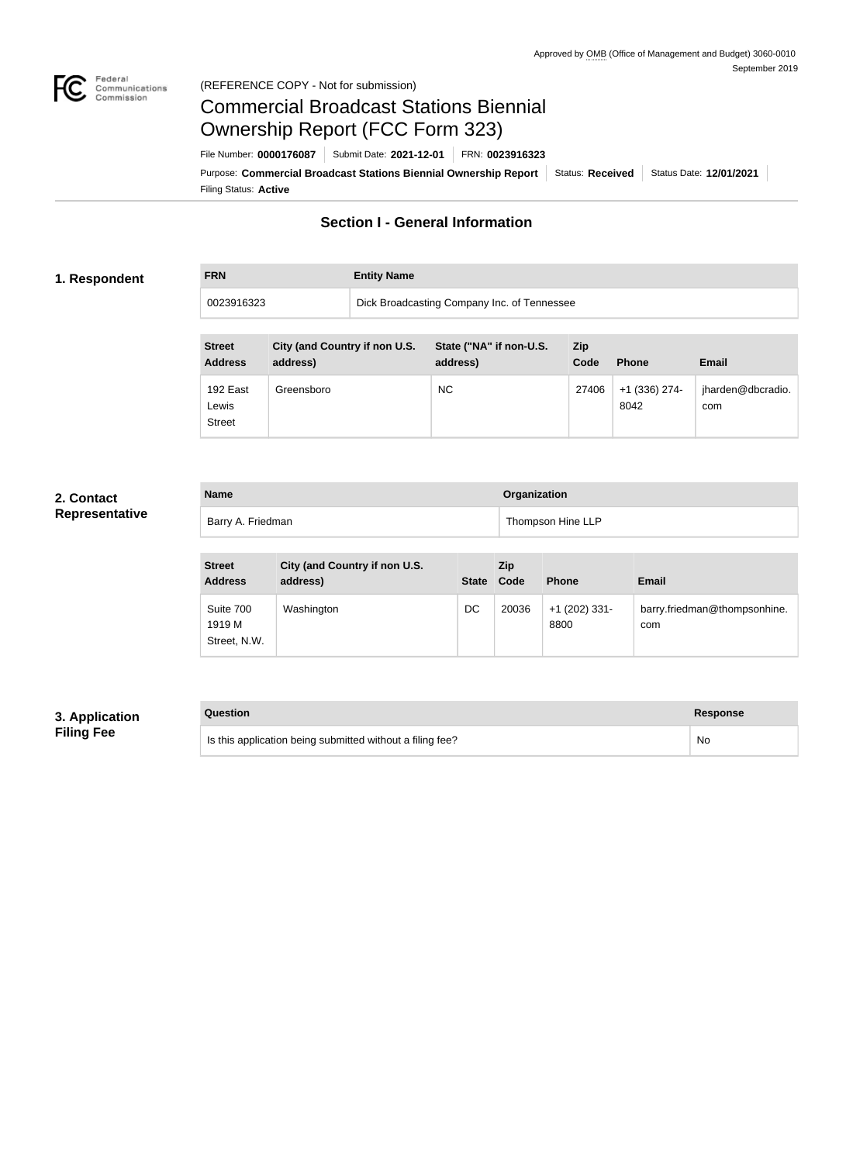

### Federal<br>Communications<br>Commission (REFERENCE COPY - Not for submission)

# Commercial Broadcast Stations Biennial Ownership Report (FCC Form 323)

Filing Status: **Active** Purpose: Commercial Broadcast Stations Biennial Ownership Report Status: Received Status Date: 12/01/2021 File Number: **0000176087** Submit Date: **2021-12-01** FRN: **0023916323**

# **Section I - General Information**

### **1. Respondent**

**FRN Entity Name** 0023916323 Dick Broadcasting Company Inc. of Tennessee

| <b>Street</b><br><b>Address</b>    | City (and Country if non U.S.<br>address) | State ("NA" if non-U.S.<br>address) | Zip<br>Code | <b>Phone</b>          | <b>Email</b>             |
|------------------------------------|-------------------------------------------|-------------------------------------|-------------|-----------------------|--------------------------|
| 192 East<br>Lewis<br><b>Street</b> | Greensboro                                | <b>NC</b>                           | 27406       | +1 (336) 274-<br>8042 | jharden@dbcradio.<br>com |

# **2. Contact Representative**

| <b>Name</b>       | Organization      |
|-------------------|-------------------|
| Barry A. Friedman | Thompson Hine LLP |

| <b>Street</b><br><b>Address</b>     | City (and Country if non U.S.<br>address) |    | <b>Zip</b><br>State Code | <b>Phone</b>            | <b>Email</b>                        |
|-------------------------------------|-------------------------------------------|----|--------------------------|-------------------------|-------------------------------------|
| Suite 700<br>1919 M<br>Street, N.W. | Washington                                | DC | 20036                    | $+1$ (202) 331-<br>8800 | barry.friedman@thompsonhine.<br>com |

# **3. Application Filing Fee**

### **Question Response**

Is this application being submitted without a filing fee? No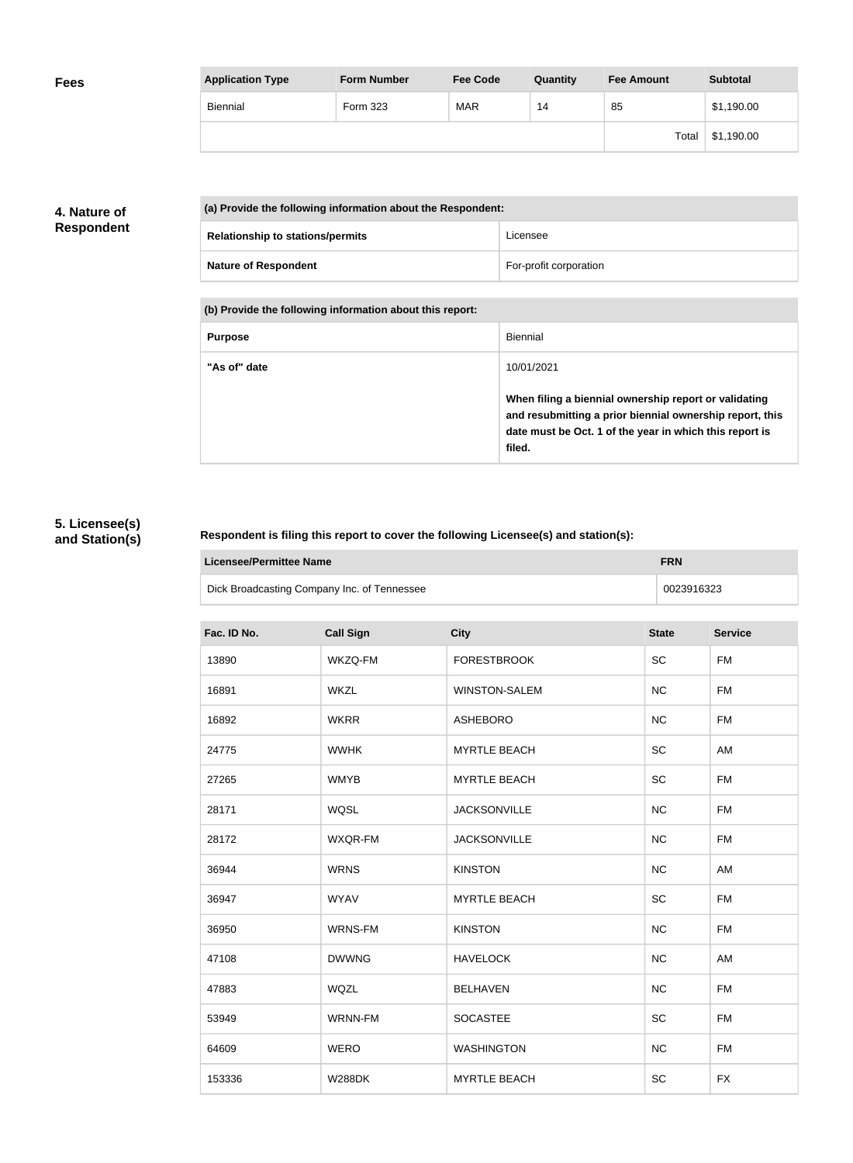| <b>Application Type</b> | <b>Form Number</b> | <b>Fee Code</b> | Quantity | <b>Fee Amount</b> | <b>Subtotal</b> |
|-------------------------|--------------------|-----------------|----------|-------------------|-----------------|
| Biennial                | Form 323           | <b>MAR</b>      | 14       | 85                | \$1,190.00      |
|                         |                    |                 |          | Total             | \$1,190.00      |

# **4. Nature of Respondent**

| (a) Provide the following information about the Respondent: |                        |  |
|-------------------------------------------------------------|------------------------|--|
| <b>Relationship to stations/permits</b>                     | Licensee               |  |
| <b>Nature of Respondent</b>                                 | For-profit corporation |  |

**(b) Provide the following information about this report:**

| <b>Purpose</b> | Biennial                                                                                                                                                                               |
|----------------|----------------------------------------------------------------------------------------------------------------------------------------------------------------------------------------|
| "As of" date   | 10/01/2021                                                                                                                                                                             |
|                | When filing a biennial ownership report or validating<br>and resubmitting a prior biennial ownership report, this<br>date must be Oct. 1 of the year in which this report is<br>filed. |

# **5. Licensee(s) and Station(s)**

### **Respondent is filing this report to cover the following Licensee(s) and station(s):**

| Licensee/Permittee Name                     | <b>FRN</b> |  |
|---------------------------------------------|------------|--|
| Dick Broadcasting Company Inc. of Tennessee | 0023916323 |  |

| Fac. ID No. | <b>Call Sign</b> | <b>City</b>          | <b>State</b> | <b>Service</b> |
|-------------|------------------|----------------------|--------------|----------------|
| 13890       | WKZQ-FM          | <b>FORESTBROOK</b>   | SC           | <b>FM</b>      |
| 16891       | <b>WKZL</b>      | <b>WINSTON-SALEM</b> | NC           | <b>FM</b>      |
| 16892       | <b>WKRR</b>      | <b>ASHEBORO</b>      | NC           | <b>FM</b>      |
| 24775       | <b>WWHK</b>      | <b>MYRTLE BEACH</b>  | SC           | AM             |
| 27265       | <b>WMYB</b>      | <b>MYRTLE BEACH</b>  | SC           | <b>FM</b>      |
| 28171       | <b>WQSL</b>      | <b>JACKSONVILLE</b>  | <b>NC</b>    | <b>FM</b>      |
| 28172       | WXQR-FM          | <b>JACKSONVILLE</b>  | NC           | <b>FM</b>      |
| 36944       | <b>WRNS</b>      | <b>KINSTON</b>       | <b>NC</b>    | AM             |
| 36947       | <b>WYAV</b>      | <b>MYRTLE BEACH</b>  | SC           | <b>FM</b>      |
| 36950       | WRNS-FM          | <b>KINSTON</b>       | NC           | <b>FM</b>      |
| 47108       | <b>DWWNG</b>     | <b>HAVELOCK</b>      | <b>NC</b>    | AM             |
| 47883       | <b>WQZL</b>      | <b>BELHAVEN</b>      | <b>NC</b>    | <b>FM</b>      |
| 53949       | WRNN-FM          | <b>SOCASTEE</b>      | SC           | <b>FM</b>      |
| 64609       | <b>WERO</b>      | <b>WASHINGTON</b>    | NC           | <b>FM</b>      |
| 153336      | <b>W288DK</b>    | <b>MYRTLE BEACH</b>  | SC           | <b>FX</b>      |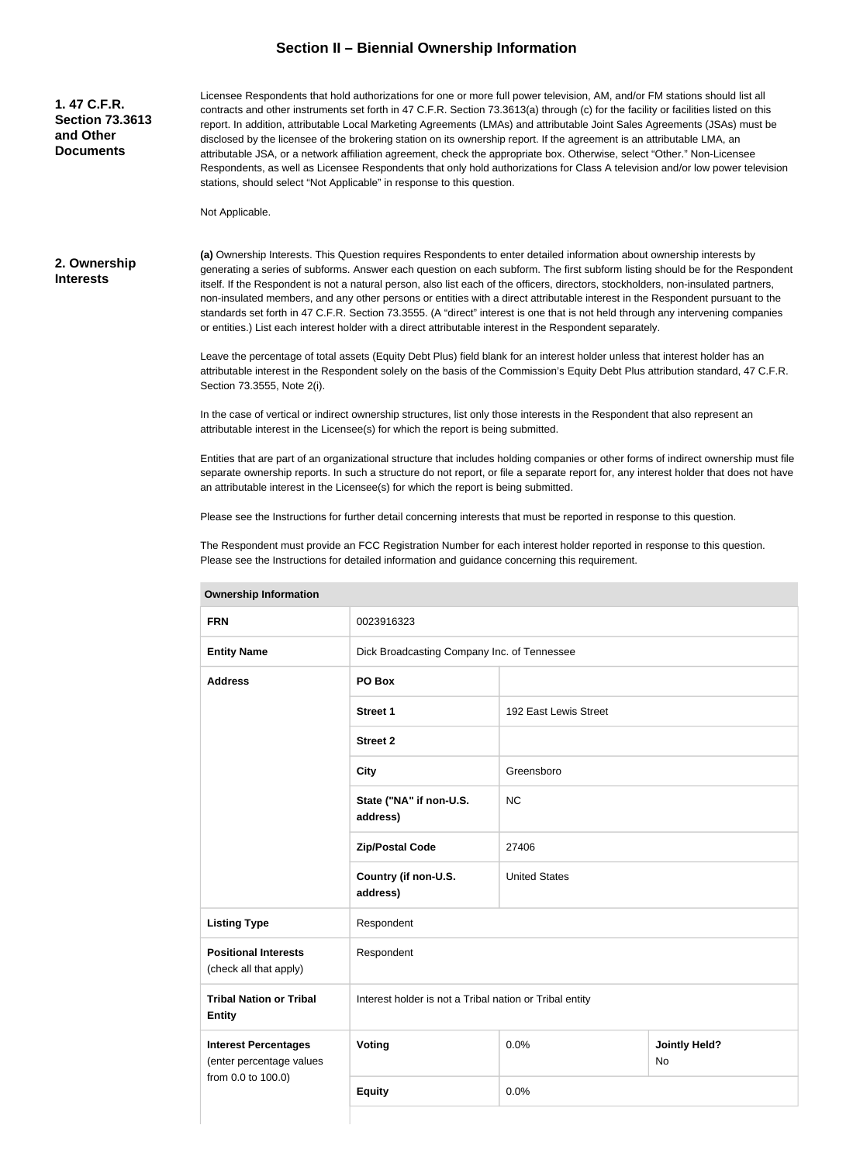# **Section II – Biennial Ownership Information**

| 1.47 C.F.R.<br><b>Section 73.3613</b><br>and Other<br><b>Documents</b> | Licensee Respondents that hold authorizations for one or more full power television, AM, and/or FM stations should list all<br>contracts and other instruments set forth in 47 C.F.R. Section 73.3613(a) through (c) for the facility or facilities listed on this<br>report. In addition, attributable Local Marketing Agreements (LMAs) and attributable Joint Sales Agreements (JSAs) must be<br>disclosed by the licensee of the brokering station on its ownership report. If the agreement is an attributable LMA, an<br>attributable JSA, or a network affiliation agreement, check the appropriate box. Otherwise, select "Other." Non-Licensee<br>Respondents, as well as Licensee Respondents that only hold authorizations for Class A television and/or low power television<br>stations, should select "Not Applicable" in response to this question. |  |  |
|------------------------------------------------------------------------|--------------------------------------------------------------------------------------------------------------------------------------------------------------------------------------------------------------------------------------------------------------------------------------------------------------------------------------------------------------------------------------------------------------------------------------------------------------------------------------------------------------------------------------------------------------------------------------------------------------------------------------------------------------------------------------------------------------------------------------------------------------------------------------------------------------------------------------------------------------------|--|--|
|                                                                        | Not Applicable.                                                                                                                                                                                                                                                                                                                                                                                                                                                                                                                                                                                                                                                                                                                                                                                                                                                    |  |  |
| 2. Ownership<br><b>Interests</b>                                       | (a) Ownership Interests. This Question requires Respondents to enter detailed information about ownership interests by<br>generating a series of subforms. Answer each question on each subform. The first subform listing should be for the Respondent<br>itself. If the Respondent is not a natural person, also list each of the officers, directors, stockholders, non-insulated partners,<br>non-insulated members, and any other persons or entities with a direct attributable interest in the Respondent pursuant to the<br>standards set forth in 47 C.F.R. Section 73.3555. (A "direct" interest is one that is not held through any intervening companies<br>or entities.) List each interest holder with a direct attributable interest in the Respondent separately.                                                                                  |  |  |
|                                                                        | Leave the percentage of total assets (Equity Debt Plus) field blank for an interest holder unless that interest holder has an<br>attributable interest in the Respondent solely on the basis of the Commission's Equity Debt Plus attribution standard, 47 C.F.R.<br>Section 73.3555, Note 2(i).                                                                                                                                                                                                                                                                                                                                                                                                                                                                                                                                                                   |  |  |
|                                                                        | In the case of vertical or indirect ownership structures, list only those interests in the Respondent that also represent an<br>attributable interest in the Licensee(s) for which the report is being submitted.                                                                                                                                                                                                                                                                                                                                                                                                                                                                                                                                                                                                                                                  |  |  |

Entities that are part of an organizational structure that includes holding companies or other forms of indirect ownership must file separate ownership reports. In such a structure do not report, or file a separate report for, any interest holder that does not have an attributable interest in the Licensee(s) for which the report is being submitted.

Please see the Instructions for further detail concerning interests that must be reported in response to this question.

The Respondent must provide an FCC Registration Number for each interest holder reported in response to this question. Please see the Instructions for detailed information and guidance concerning this requirement.

| ווטוואוווטווווטוווונגושט                                |                                                         |                       |                            |  |
|---------------------------------------------------------|---------------------------------------------------------|-----------------------|----------------------------|--|
| <b>FRN</b>                                              | 0023916323                                              |                       |                            |  |
| <b>Entity Name</b>                                      | Dick Broadcasting Company Inc. of Tennessee             |                       |                            |  |
| <b>Address</b>                                          | PO Box                                                  |                       |                            |  |
|                                                         | Street 1                                                | 192 East Lewis Street |                            |  |
|                                                         | <b>Street 2</b>                                         |                       |                            |  |
|                                                         | <b>City</b>                                             | Greensboro            |                            |  |
|                                                         | State ("NA" if non-U.S.<br>address)                     | <b>NC</b>             |                            |  |
|                                                         | <b>Zip/Postal Code</b>                                  | 27406                 |                            |  |
|                                                         | Country (if non-U.S.<br>address)                        | <b>United States</b>  |                            |  |
| <b>Listing Type</b>                                     | Respondent                                              |                       |                            |  |
| <b>Positional Interests</b><br>(check all that apply)   | Respondent                                              |                       |                            |  |
| <b>Tribal Nation or Tribal</b><br><b>Entity</b>         | Interest holder is not a Tribal nation or Tribal entity |                       |                            |  |
| <b>Interest Percentages</b><br>(enter percentage values | Voting                                                  | 0.0%                  | <b>Jointly Held?</b><br>No |  |
| from 0.0 to 100.0)                                      | <b>Equity</b>                                           | 0.0%                  |                            |  |
|                                                         |                                                         |                       |                            |  |

**Ownership Information**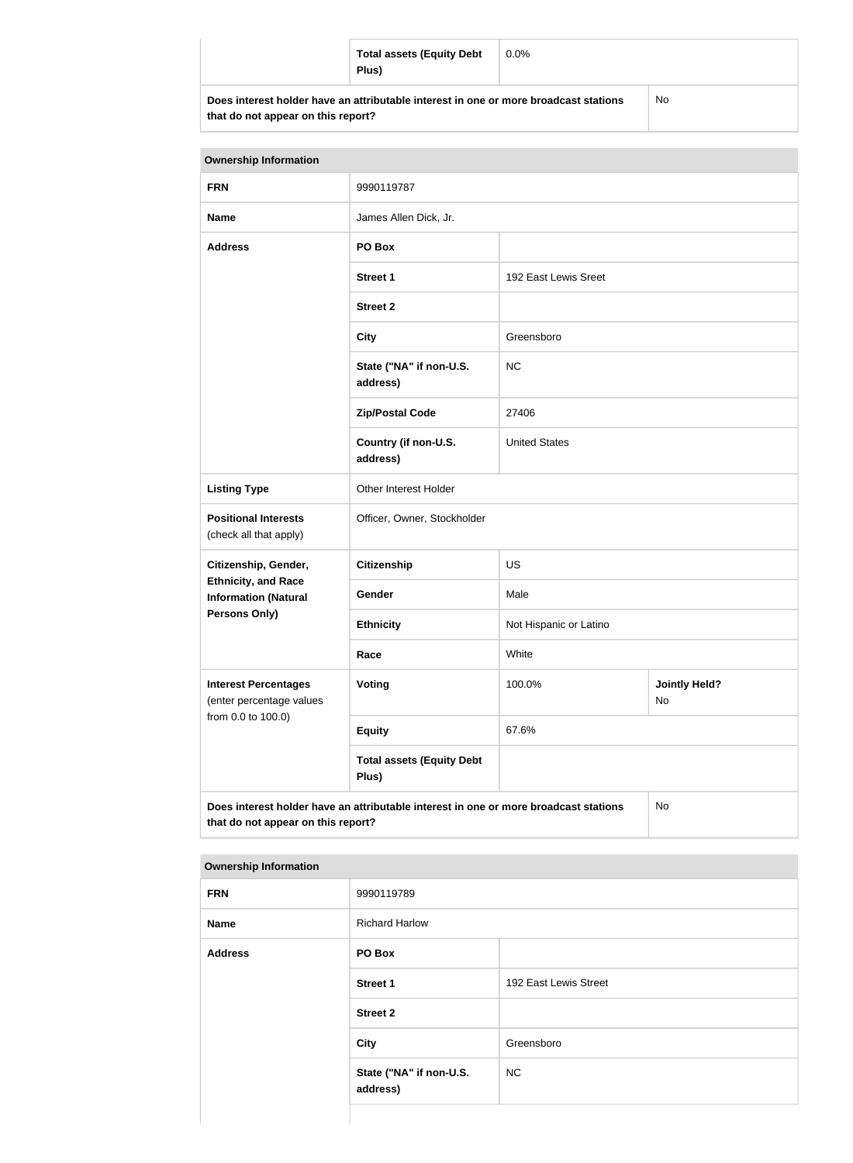| <b>Total assets (Equity Debt</b><br>Plus)                                            | $0.0\%$ |           |
|--------------------------------------------------------------------------------------|---------|-----------|
| Does interest holder have an attributable interest in one or more broadcast stations |         | <b>No</b> |

| <b>Ownership Information</b>                                                                                                     |                                     |                        |                            |  |
|----------------------------------------------------------------------------------------------------------------------------------|-------------------------------------|------------------------|----------------------------|--|
| <b>FRN</b>                                                                                                                       | 9990119787                          |                        |                            |  |
| <b>Name</b>                                                                                                                      | James Allen Dick, Jr.               |                        |                            |  |
| <b>Address</b>                                                                                                                   | PO Box                              |                        |                            |  |
|                                                                                                                                  | <b>Street 1</b>                     | 192 East Lewis Sreet   |                            |  |
|                                                                                                                                  | <b>Street 2</b>                     |                        |                            |  |
|                                                                                                                                  | <b>City</b>                         | Greensboro             |                            |  |
|                                                                                                                                  | State ("NA" if non-U.S.<br>address) | <b>NC</b>              |                            |  |
|                                                                                                                                  | <b>Zip/Postal Code</b>              | 27406                  |                            |  |
|                                                                                                                                  | Country (if non-U.S.<br>address)    | <b>United States</b>   |                            |  |
| <b>Listing Type</b>                                                                                                              | Other Interest Holder               |                        |                            |  |
| <b>Positional Interests</b><br>(check all that apply)                                                                            | Officer, Owner, Stockholder         |                        |                            |  |
| Citizenship, Gender,                                                                                                             | <b>Citizenship</b>                  | <b>US</b>              |                            |  |
| <b>Ethnicity, and Race</b><br><b>Information (Natural</b>                                                                        | Gender                              | Male                   |                            |  |
| <b>Persons Only)</b>                                                                                                             | <b>Ethnicity</b>                    | Not Hispanic or Latino |                            |  |
|                                                                                                                                  | Race                                | White                  |                            |  |
| <b>Interest Percentages</b><br>(enter percentage values                                                                          | Voting                              | 100.0%                 | <b>Jointly Held?</b><br>No |  |
| from 0.0 to 100.0)                                                                                                               | <b>Equity</b>                       | 67.6%                  |                            |  |
| <b>Total assets (Equity Debt</b><br>Plus)                                                                                        |                                     |                        |                            |  |
| Does interest holder have an attributable interest in one or more broadcast stations<br>No<br>that do not appear on this report? |                                     |                        |                            |  |

|  | <b>Ownership Information</b> |
|--|------------------------------|
|--|------------------------------|

| <b>FRN</b>     | 9990119789                          |                       |
|----------------|-------------------------------------|-----------------------|
| <b>Name</b>    | <b>Richard Harlow</b>               |                       |
| <b>Address</b> | PO Box                              |                       |
|                | <b>Street 1</b>                     | 192 East Lewis Street |
|                | <b>Street 2</b>                     |                       |
|                | <b>City</b>                         | Greensboro            |
|                | State ("NA" if non-U.S.<br>address) | <b>NC</b>             |
|                |                                     |                       |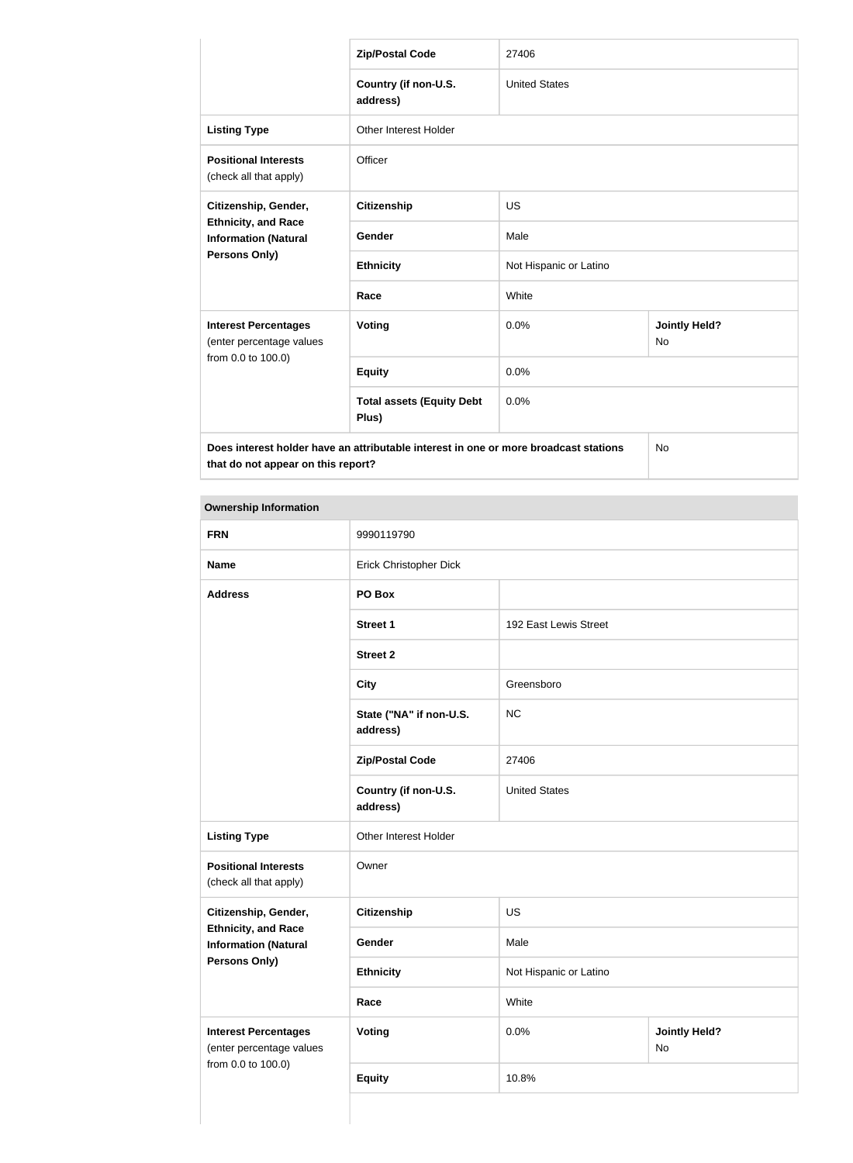|                                                                                      | <b>Zip/Postal Code</b>                    | 27406                  |                                   |
|--------------------------------------------------------------------------------------|-------------------------------------------|------------------------|-----------------------------------|
|                                                                                      | Country (if non-U.S.<br>address)          | <b>United States</b>   |                                   |
| <b>Listing Type</b>                                                                  | <b>Other Interest Holder</b>              |                        |                                   |
| <b>Positional Interests</b><br>(check all that apply)                                | Officer                                   |                        |                                   |
| Citizenship, Gender,<br><b>Ethnicity, and Race</b><br><b>Information (Natural</b>    | <b>Citizenship</b>                        | <b>US</b>              |                                   |
|                                                                                      | Gender                                    | Male                   |                                   |
| <b>Persons Only)</b>                                                                 | <b>Ethnicity</b>                          | Not Hispanic or Latino |                                   |
|                                                                                      | Race                                      | White                  |                                   |
| <b>Interest Percentages</b><br>(enter percentage values                              | <b>Voting</b>                             | 0.0%                   | <b>Jointly Held?</b><br><b>No</b> |
| from 0.0 to 100.0)                                                                   | <b>Equity</b>                             | 0.0%                   |                                   |
|                                                                                      | <b>Total assets (Equity Debt</b><br>Plus) | 0.0%                   |                                   |
| Does interest holder have an attributable interest in one or more broadcast stations |                                           | <b>No</b>              |                                   |

| <b>Ownership Information</b>                                                  |                                     |                        |                            |  |
|-------------------------------------------------------------------------------|-------------------------------------|------------------------|----------------------------|--|
| <b>FRN</b>                                                                    | 9990119790                          |                        |                            |  |
| <b>Name</b>                                                                   | Erick Christopher Dick              |                        |                            |  |
| <b>Address</b>                                                                | PO Box                              |                        |                            |  |
|                                                                               | <b>Street 1</b>                     | 192 East Lewis Street  |                            |  |
|                                                                               | <b>Street 2</b>                     |                        |                            |  |
|                                                                               | <b>City</b>                         | Greensboro             |                            |  |
|                                                                               | State ("NA" if non-U.S.<br>address) | <b>NC</b>              |                            |  |
|                                                                               | <b>Zip/Postal Code</b>              | 27406                  |                            |  |
|                                                                               | Country (if non-U.S.<br>address)    | <b>United States</b>   |                            |  |
| <b>Listing Type</b>                                                           | Other Interest Holder               |                        |                            |  |
| <b>Positional Interests</b><br>(check all that apply)                         | Owner                               |                        |                            |  |
| Citizenship, Gender,                                                          | <b>Citizenship</b>                  | <b>US</b>              |                            |  |
| <b>Ethnicity, and Race</b><br><b>Information (Natural</b>                     | Gender                              | Male                   |                            |  |
| <b>Persons Only)</b>                                                          | <b>Ethnicity</b>                    | Not Hispanic or Latino |                            |  |
|                                                                               | Race                                | White                  |                            |  |
| <b>Interest Percentages</b><br>(enter percentage values<br>from 0.0 to 100.0) | <b>Voting</b>                       | 0.0%                   | <b>Jointly Held?</b><br>No |  |
|                                                                               | <b>Equity</b>                       | 10.8%                  |                            |  |

 $\mathbb{R}^n$  . The set of  $\mathbb{R}^n$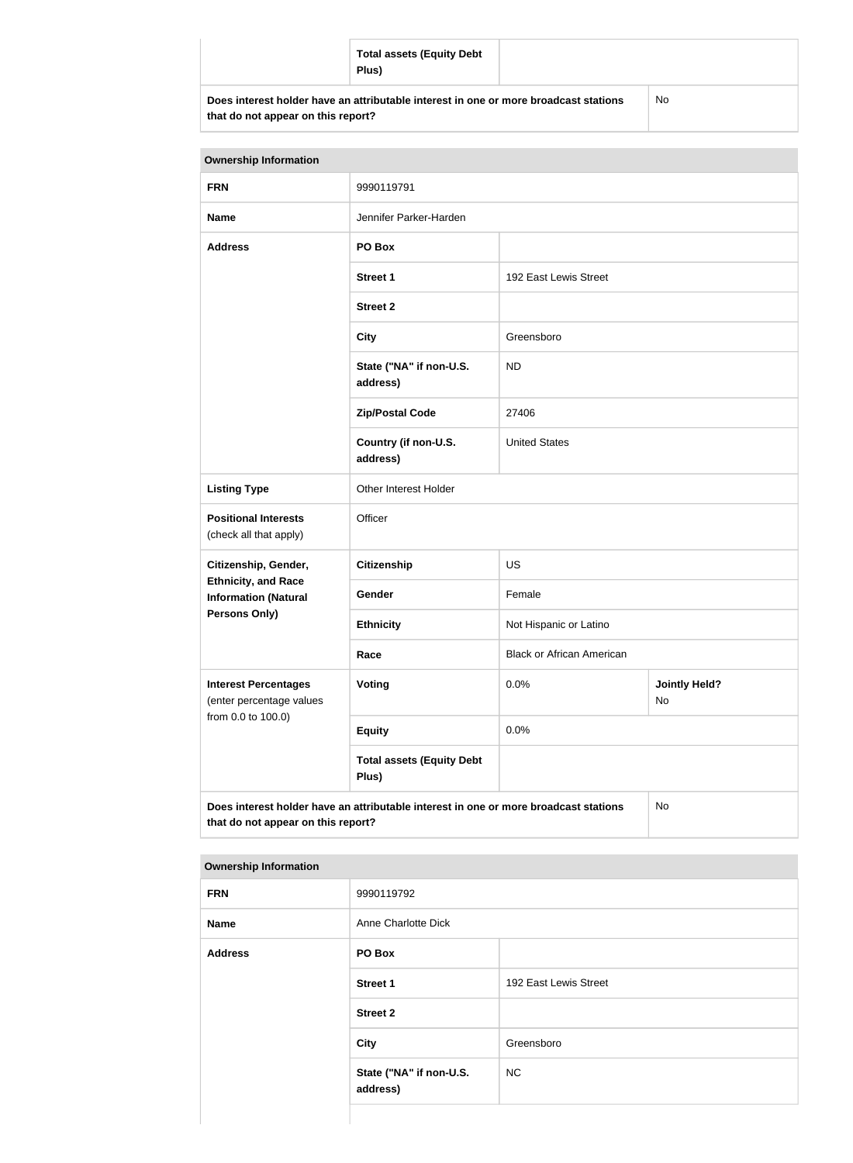|                                                                                                                            | <b>Total assets (Equity Debt</b><br>Plus) |    |
|----------------------------------------------------------------------------------------------------------------------------|-------------------------------------------|----|
| Does interest holder have an attributable interest in one or more broadcast stations<br>that do not appear on this report? |                                           | No |

| <b>Ownership Information</b>                                                                                                     |                                           |                                  |                            |
|----------------------------------------------------------------------------------------------------------------------------------|-------------------------------------------|----------------------------------|----------------------------|
| <b>FRN</b>                                                                                                                       | 9990119791                                |                                  |                            |
| <b>Name</b>                                                                                                                      | Jennifer Parker-Harden                    |                                  |                            |
| <b>Address</b>                                                                                                                   | PO Box                                    |                                  |                            |
|                                                                                                                                  | <b>Street 1</b>                           | 192 East Lewis Street            |                            |
|                                                                                                                                  | <b>Street 2</b>                           |                                  |                            |
|                                                                                                                                  | <b>City</b>                               | Greensboro                       |                            |
|                                                                                                                                  | State ("NA" if non-U.S.<br>address)       | <b>ND</b>                        |                            |
|                                                                                                                                  | <b>Zip/Postal Code</b>                    | 27406                            |                            |
|                                                                                                                                  | Country (if non-U.S.<br>address)          | <b>United States</b>             |                            |
| <b>Listing Type</b>                                                                                                              | Other Interest Holder                     |                                  |                            |
| <b>Positional Interests</b><br>(check all that apply)                                                                            | Officer                                   |                                  |                            |
| Citizenship, Gender,                                                                                                             | <b>Citizenship</b>                        | <b>US</b>                        |                            |
| <b>Ethnicity, and Race</b><br><b>Information (Natural</b>                                                                        | Gender                                    | Female                           |                            |
| Persons Only)                                                                                                                    | <b>Ethnicity</b>                          | Not Hispanic or Latino           |                            |
|                                                                                                                                  | Race                                      | <b>Black or African American</b> |                            |
| <b>Interest Percentages</b><br>(enter percentage values                                                                          | Voting                                    | 0.0%                             | <b>Jointly Held?</b><br>No |
| from 0.0 to 100.0)                                                                                                               | <b>Equity</b>                             | 0.0%                             |                            |
|                                                                                                                                  | <b>Total assets (Equity Debt</b><br>Plus) |                                  |                            |
| Does interest holder have an attributable interest in one or more broadcast stations<br>No<br>that do not appear on this report? |                                           |                                  |                            |

| <b>Ownership Information</b> |                                     |                       |  |
|------------------------------|-------------------------------------|-----------------------|--|
| <b>FRN</b>                   | 9990119792                          |                       |  |
| <b>Name</b>                  | Anne Charlotte Dick                 |                       |  |
| <b>Address</b>               | PO Box                              |                       |  |
|                              | <b>Street 1</b>                     | 192 East Lewis Street |  |
|                              | <b>Street 2</b>                     |                       |  |
|                              | <b>City</b>                         | Greensboro            |  |
|                              | State ("NA" if non-U.S.<br>address) | <b>NC</b>             |  |
|                              |                                     |                       |  |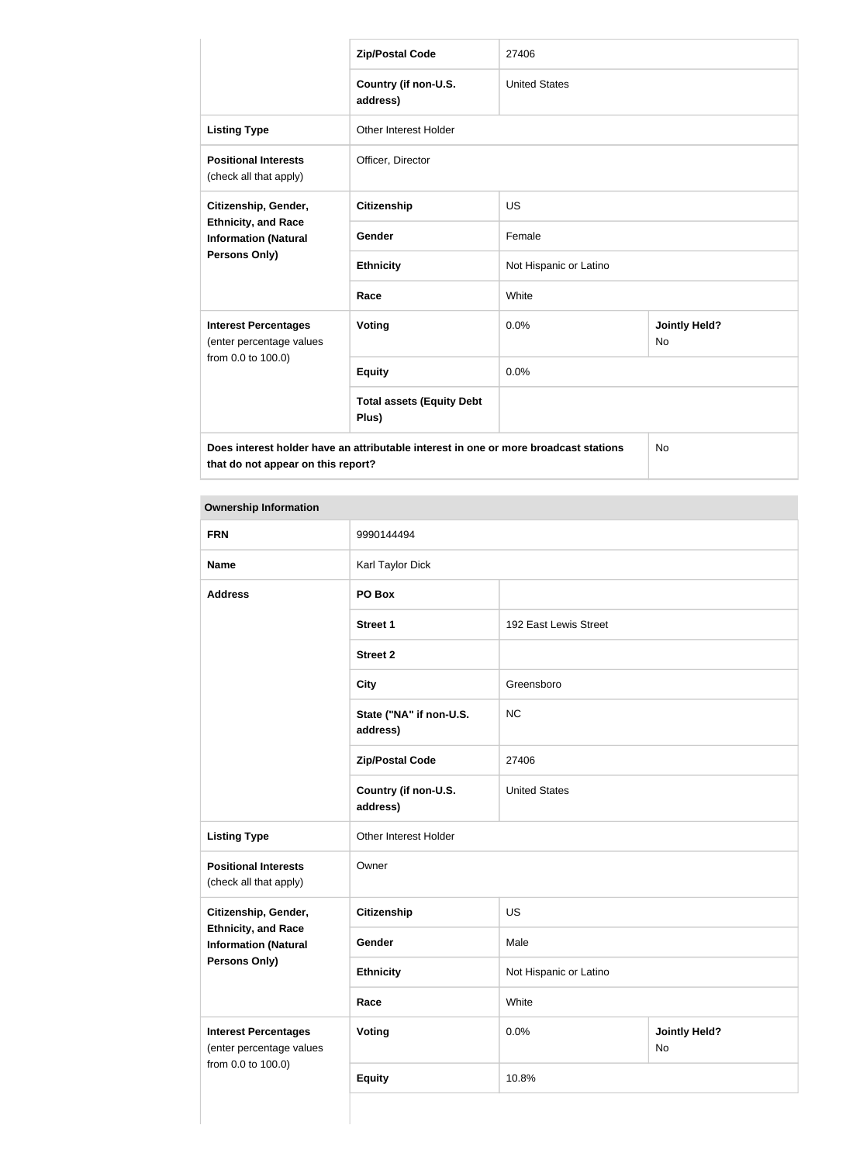|                                                                                      | <b>Zip/Postal Code</b>                    | 27406                  |                                   |
|--------------------------------------------------------------------------------------|-------------------------------------------|------------------------|-----------------------------------|
|                                                                                      | Country (if non-U.S.<br>address)          | <b>United States</b>   |                                   |
| <b>Listing Type</b>                                                                  | <b>Other Interest Holder</b>              |                        |                                   |
| <b>Positional Interests</b><br>(check all that apply)                                | Officer, Director                         |                        |                                   |
| Citizenship, Gender,<br><b>Ethnicity, and Race</b><br><b>Information (Natural</b>    | <b>Citizenship</b>                        | <b>US</b>              |                                   |
|                                                                                      | Gender                                    | Female                 |                                   |
| Persons Only)                                                                        | <b>Ethnicity</b>                          | Not Hispanic or Latino |                                   |
|                                                                                      | Race                                      | White                  |                                   |
| <b>Interest Percentages</b><br>(enter percentage values                              | Voting                                    | 0.0%                   | <b>Jointly Held?</b><br><b>No</b> |
| from 0.0 to 100.0)                                                                   | <b>Equity</b>                             | 0.0%                   |                                   |
|                                                                                      | <b>Total assets (Equity Debt</b><br>Plus) |                        |                                   |
| Does interest holder have an attributable interest in one or more broadcast stations |                                           |                        | <b>No</b>                         |

| <b>Ownership Information</b>                              |                                     |                        |                            |
|-----------------------------------------------------------|-------------------------------------|------------------------|----------------------------|
| <b>FRN</b>                                                | 9990144494                          |                        |                            |
| <b>Name</b>                                               | Karl Taylor Dick                    |                        |                            |
| <b>Address</b>                                            | PO Box                              |                        |                            |
|                                                           | <b>Street 1</b>                     | 192 East Lewis Street  |                            |
|                                                           | <b>Street 2</b>                     |                        |                            |
|                                                           | <b>City</b>                         | Greensboro             |                            |
|                                                           | State ("NA" if non-U.S.<br>address) | <b>NC</b>              |                            |
|                                                           | <b>Zip/Postal Code</b>              | 27406                  |                            |
|                                                           | Country (if non-U.S.<br>address)    | <b>United States</b>   |                            |
| <b>Listing Type</b>                                       | Other Interest Holder               |                        |                            |
| <b>Positional Interests</b><br>(check all that apply)     | Owner                               |                        |                            |
| Citizenship, Gender,                                      | Citizenship                         | US                     |                            |
| <b>Ethnicity, and Race</b><br><b>Information (Natural</b> | Gender                              | Male                   |                            |
| <b>Persons Only)</b>                                      | <b>Ethnicity</b>                    | Not Hispanic or Latino |                            |
|                                                           | Race                                | White                  |                            |
| <b>Interest Percentages</b><br>(enter percentage values   | <b>Voting</b>                       | 0.0%                   | <b>Jointly Held?</b><br>No |
| from 0.0 to 100.0)                                        | <b>Equity</b>                       | 10.8%                  |                            |
|                                                           |                                     |                        |                            |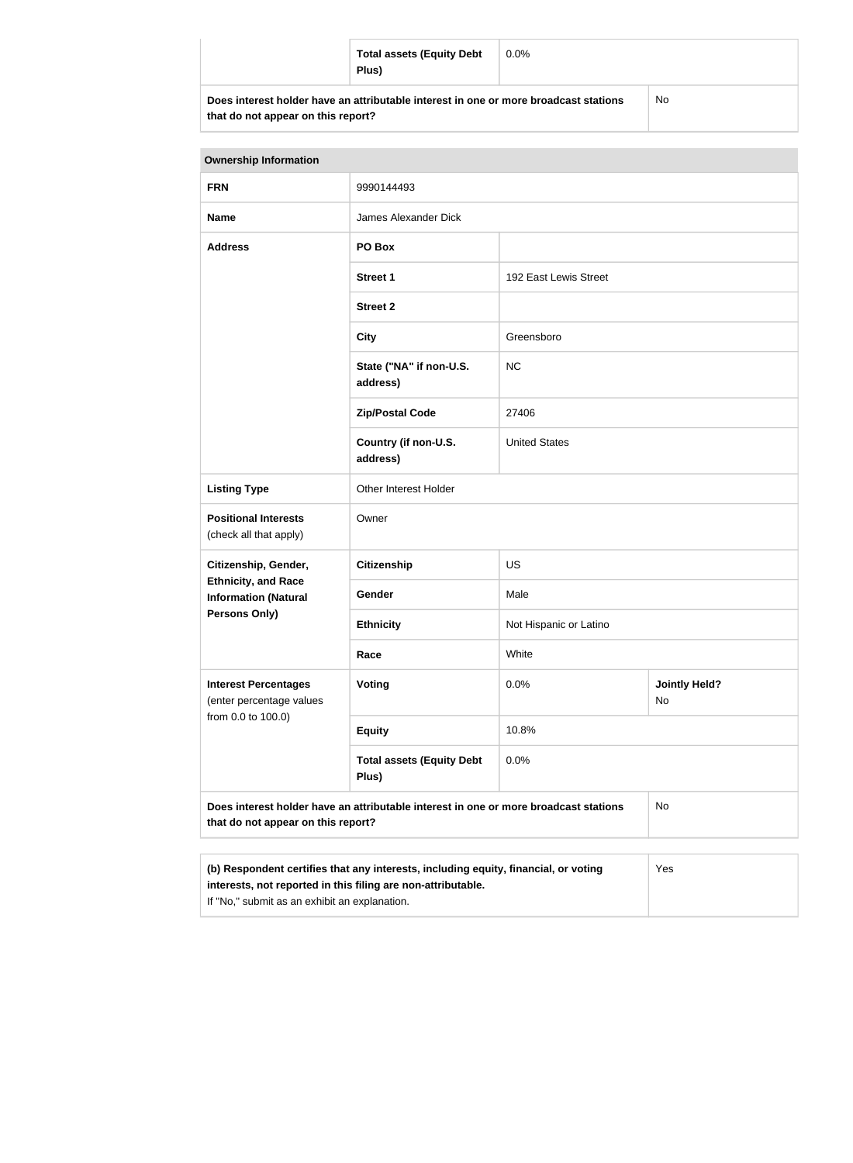| <b>Total assets (Equity Debt</b><br>Plus)                                            | $0.0\%$ |           |
|--------------------------------------------------------------------------------------|---------|-----------|
| Does interest holder have an attributable interest in one or more broadcast stations |         | <b>No</b> |

| <b>Ownership Information</b>                                                                                                                               |                                           |                        |                            |  |
|------------------------------------------------------------------------------------------------------------------------------------------------------------|-------------------------------------------|------------------------|----------------------------|--|
| <b>FRN</b>                                                                                                                                                 | 9990144493                                |                        |                            |  |
| <b>Name</b>                                                                                                                                                | James Alexander Dick                      |                        |                            |  |
| <b>Address</b>                                                                                                                                             | PO Box                                    |                        |                            |  |
|                                                                                                                                                            | <b>Street 1</b>                           | 192 East Lewis Street  |                            |  |
|                                                                                                                                                            | <b>Street 2</b>                           |                        |                            |  |
|                                                                                                                                                            | <b>City</b>                               | Greensboro             |                            |  |
|                                                                                                                                                            | State ("NA" if non-U.S.<br>address)       | NC                     |                            |  |
|                                                                                                                                                            | <b>Zip/Postal Code</b>                    | 27406                  |                            |  |
|                                                                                                                                                            | Country (if non-U.S.<br>address)          | <b>United States</b>   |                            |  |
| <b>Listing Type</b>                                                                                                                                        | Other Interest Holder                     |                        |                            |  |
| <b>Positional Interests</b><br>(check all that apply)                                                                                                      | Owner                                     |                        |                            |  |
| Citizenship, Gender,                                                                                                                                       | <b>Citizenship</b>                        | <b>US</b>              |                            |  |
| <b>Ethnicity, and Race</b><br><b>Information (Natural</b>                                                                                                  | Gender                                    | Male                   |                            |  |
| <b>Persons Only)</b>                                                                                                                                       | <b>Ethnicity</b>                          | Not Hispanic or Latino |                            |  |
|                                                                                                                                                            | Race                                      | White                  |                            |  |
| <b>Interest Percentages</b><br>(enter percentage values                                                                                                    | Voting                                    | 0.0%                   | <b>Jointly Held?</b><br>No |  |
| from 0.0 to 100.0)                                                                                                                                         | <b>Equity</b>                             | 10.8%                  |                            |  |
|                                                                                                                                                            | <b>Total assets (Equity Debt</b><br>Plus) | 0.0%                   |                            |  |
| Does interest holder have an attributable interest in one or more broadcast stations<br>No<br>that do not appear on this report?                           |                                           |                        |                            |  |
| (b) Respondent certifies that any interests, including equity, financial, or voting<br>Yes<br>interests, not reported in this filing are non-attributable. |                                           |                        |                            |  |

If "No," submit as an exhibit an explanation.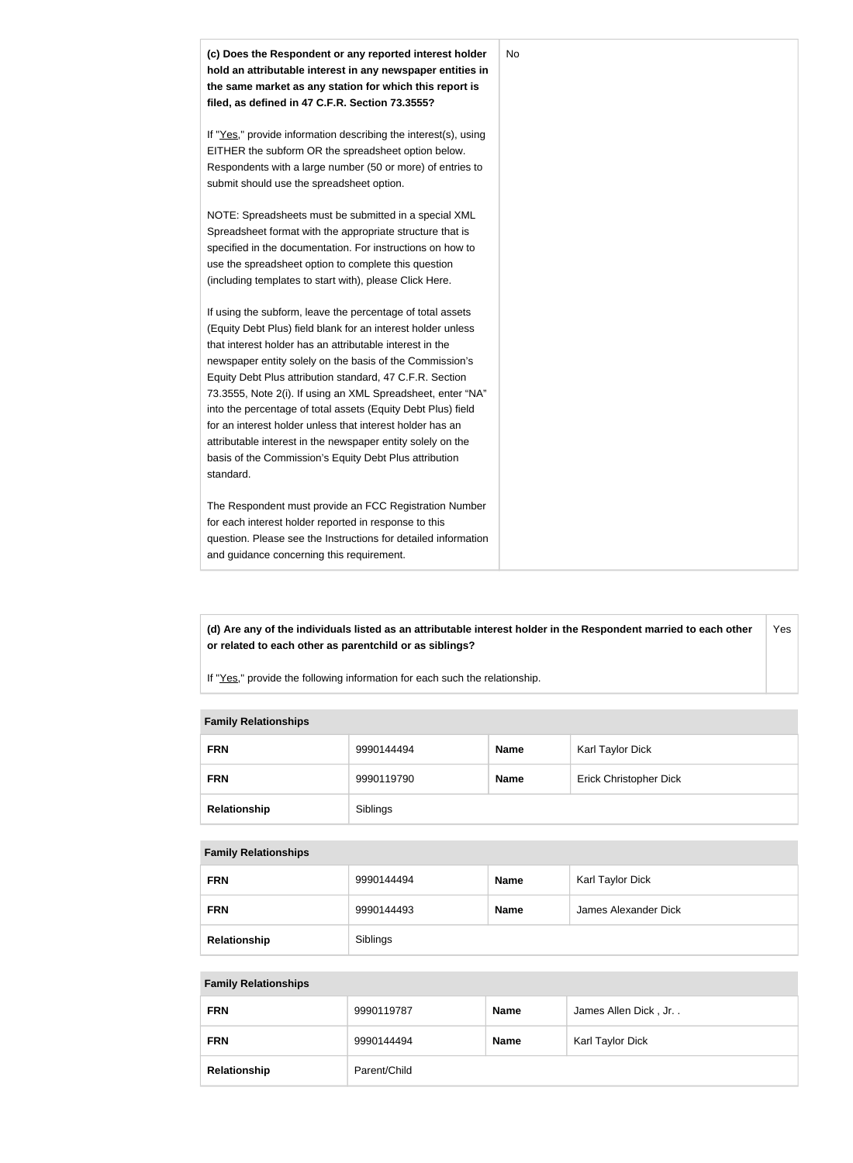

**(d) Are any of the individuals listed as an attributable interest holder in the Respondent married to each other or related to each other as parentchild or as siblings?** Yes

If "Yes," provide the following information for each such the relationship.

### **Family Relationships**

| <b>FRN</b>   | 9990144494 | <b>Name</b> | Karl Taylor Dick              |
|--------------|------------|-------------|-------------------------------|
| <b>FRN</b>   | 9990119790 | <b>Name</b> | <b>Erick Christopher Dick</b> |
| Relationship | Siblings   |             |                               |

#### **Family Relationships**

| <b>FRN</b>   | 9990144494 | <b>Name</b> | Karl Taylor Dick     |
|--------------|------------|-------------|----------------------|
| <b>FRN</b>   | 9990144493 | <b>Name</b> | James Alexander Dick |
| Relationship | Siblings   |             |                      |

#### **Family Relationships**

| <b>FRN</b>   | 9990119787   | <b>Name</b> | James Allen Dick, Jr |
|--------------|--------------|-------------|----------------------|
| <b>FRN</b>   | 9990144494   | <b>Name</b> | Karl Taylor Dick     |
| Relationship | Parent/Child |             |                      |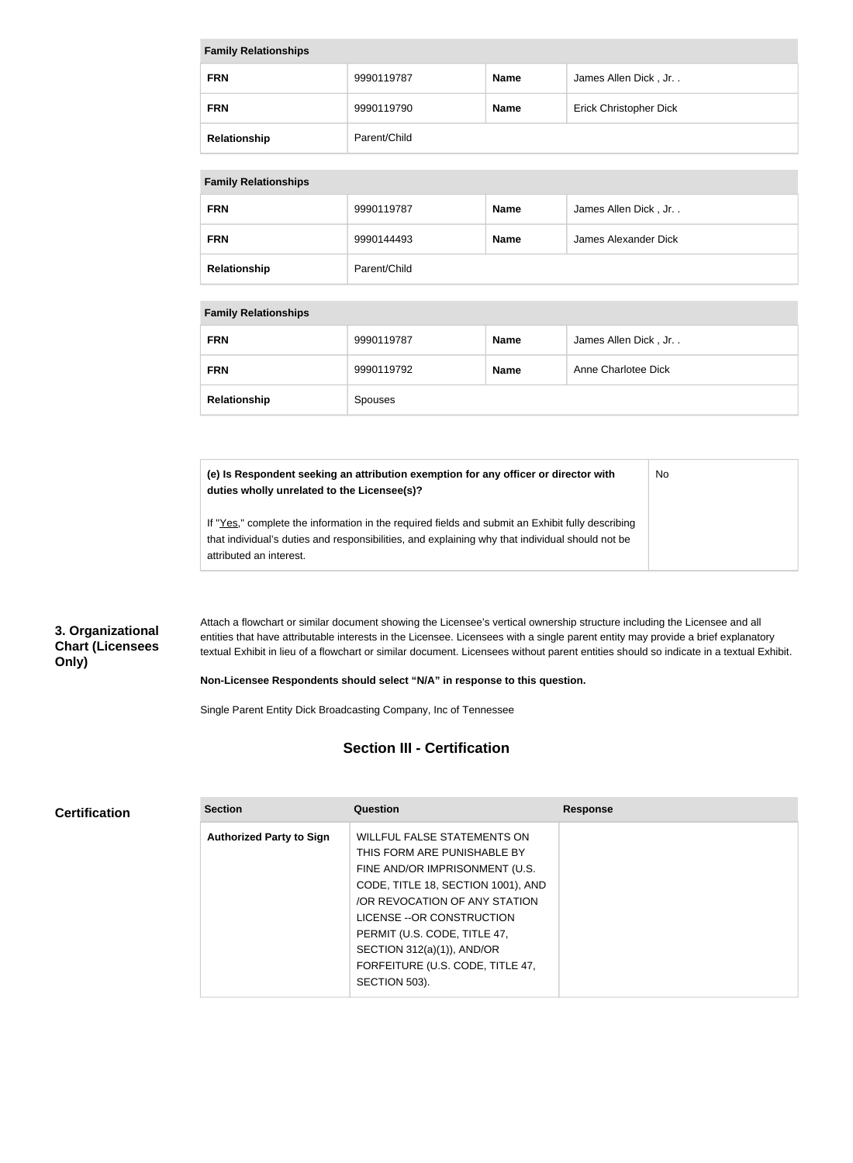| <b>Family Relationships</b> |              |             |                               |
|-----------------------------|--------------|-------------|-------------------------------|
| <b>FRN</b>                  | 9990119787   | <b>Name</b> | James Allen Dick, Jr          |
| <b>FRN</b>                  | 9990119790   | <b>Name</b> | <b>Erick Christopher Dick</b> |
| Relationship                | Parent/Child |             |                               |

#### **Family Relationships**

| <b>FRN</b>   | 9990119787   | <b>Name</b> | James Allen Dick, Jr |
|--------------|--------------|-------------|----------------------|
| <b>FRN</b>   | 9990144493   | <b>Name</b> | James Alexander Dick |
| Relationship | Parent/Child |             |                      |

#### **Family Relationships**

| <b>FRN</b>   | 9990119787 | <b>Name</b> | James Allen Dick, Jr |
|--------------|------------|-------------|----------------------|
| <b>FRN</b>   | 9990119792 | <b>Name</b> | Anne Charlotee Dick  |
| Relationship | Spouses    |             |                      |

**(e) Is Respondent seeking an attribution exemption for any officer or director with duties wholly unrelated to the Licensee(s)?** No

If "Yes," complete the information in the required fields and submit an Exhibit fully describing that individual's duties and responsibilities, and explaining why that individual should not be attributed an interest.

# **3. Organizational Chart (Licensees Only)**

Attach a flowchart or similar document showing the Licensee's vertical ownership structure including the Licensee and all entities that have attributable interests in the Licensee. Licensees with a single parent entity may provide a brief explanatory textual Exhibit in lieu of a flowchart or similar document. Licensees without parent entities should so indicate in a textual Exhibit.

#### **Non-Licensee Respondents should select "N/A" in response to this question.**

Single Parent Entity Dick Broadcasting Company, Inc of Tennessee

# **Section III - Certification**

#### **Certification**

| <b>Section</b>                  | Question                           | <b>Response</b> |
|---------------------------------|------------------------------------|-----------------|
| <b>Authorized Party to Sign</b> | <b>WILLFUL FALSE STATEMENTS ON</b> |                 |
|                                 | THIS FORM ARE PUNISHABLE BY        |                 |
|                                 | FINE AND/OR IMPRISONMENT (U.S.     |                 |
|                                 | CODE, TITLE 18, SECTION 1001), AND |                 |
|                                 | OR REVOCATION OF ANY STATION       |                 |
|                                 | LICENSE -- OR CONSTRUCTION         |                 |
|                                 | PERMIT (U.S. CODE, TITLE 47,       |                 |
|                                 | SECTION 312(a)(1)), AND/OR         |                 |
|                                 | FORFEITURE (U.S. CODE, TITLE 47,   |                 |
|                                 | SECTION 503).                      |                 |